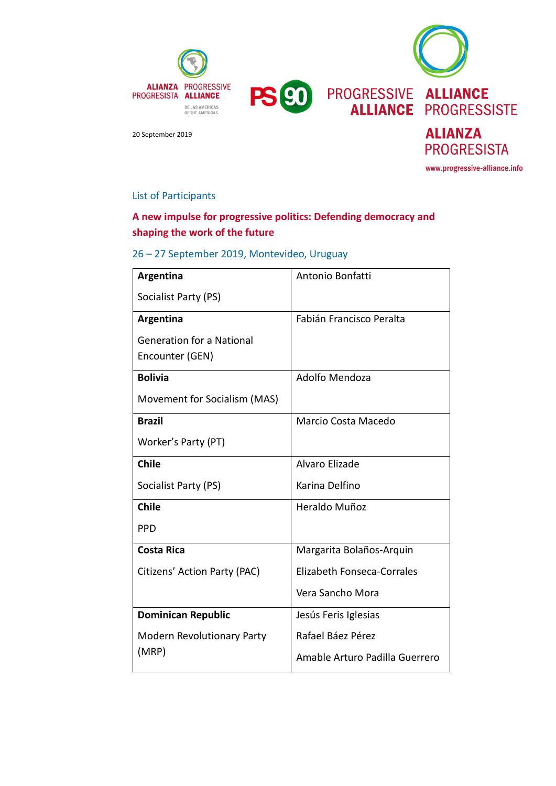

www.progressive-alliance.info

#### List of Participants

# **A new impulse for progressive politics: Defending democracy and shaping the work of the future**

## 26 – 27 September 2019, Montevideo, Uruguay

| Argentina                         | Antonio Bonfatti                  |
|-----------------------------------|-----------------------------------|
| Socialist Party (PS)              |                                   |
| Argentina                         | Fabián Francisco Peralta          |
| <b>Generation for a National</b>  |                                   |
| Encounter (GEN)                   |                                   |
| <b>Bolivia</b>                    | Adolfo Mendoza                    |
| Movement for Socialism (MAS)      |                                   |
| <b>Brazil</b>                     | Marcio Costa Macedo               |
| Worker's Party (PT)               |                                   |
| <b>Chile</b>                      | Alvaro Elizade                    |
| Socialist Party (PS)              | Karina Delfino                    |
| <b>Chile</b>                      | Heraldo Muñoz                     |
| <b>PPD</b>                        |                                   |
| <b>Costa Rica</b>                 | Margarita Bolaños-Arquin          |
| Citizens' Action Party (PAC)      | <b>Elizabeth Fonseca-Corrales</b> |
|                                   | Vera Sancho Mora                  |
| <b>Dominican Republic</b>         | Jesús Feris Iglesias              |
| <b>Modern Revolutionary Party</b> | Rafael Báez Pérez                 |
| (MRP)                             | Amable Arturo Padilla Guerrero    |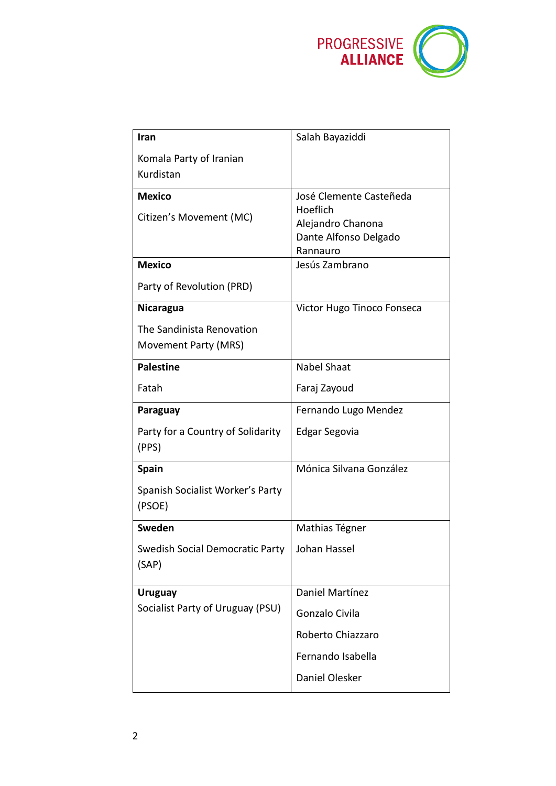

| Iran                                              | Salah Bayaziddi                            |
|---------------------------------------------------|--------------------------------------------|
| Komala Party of Iranian<br>Kurdistan              |                                            |
| <b>Mexico</b>                                     | José Clemente Casteñeda<br>Hoeflich        |
| Citizen's Movement (MC)                           | Alejandro Chanona<br>Dante Alfonso Delgado |
| <b>Mexico</b>                                     | Rannauro<br>Jesús Zambrano                 |
| Party of Revolution (PRD)                         |                                            |
| <b>Nicaragua</b>                                  | Victor Hugo Tinoco Fonseca                 |
| The Sandinista Renovation<br>Movement Party (MRS) |                                            |
|                                                   |                                            |
| <b>Palestine</b>                                  | <b>Nabel Shaat</b>                         |
| Fatah                                             | Faraj Zayoud                               |
| Paraguay                                          | Fernando Lugo Mendez                       |
| Party for a Country of Solidarity<br>(PPS)        | Edgar Segovia                              |
| <b>Spain</b>                                      | Mónica Silvana González                    |
| Spanish Socialist Worker's Party<br>(PSOE)        |                                            |
| Sweden                                            | Mathias Tégner                             |
| Swedish Social Democratic Party<br>(SAP)          | Johan Hassel                               |
| <b>Uruguay</b>                                    | Daniel Martínez                            |
| Socialist Party of Uruguay (PSU)                  | Gonzalo Civila                             |
|                                                   | Roberto Chiazzaro                          |
|                                                   | Fernando Isabella                          |
|                                                   | Daniel Olesker                             |
|                                                   |                                            |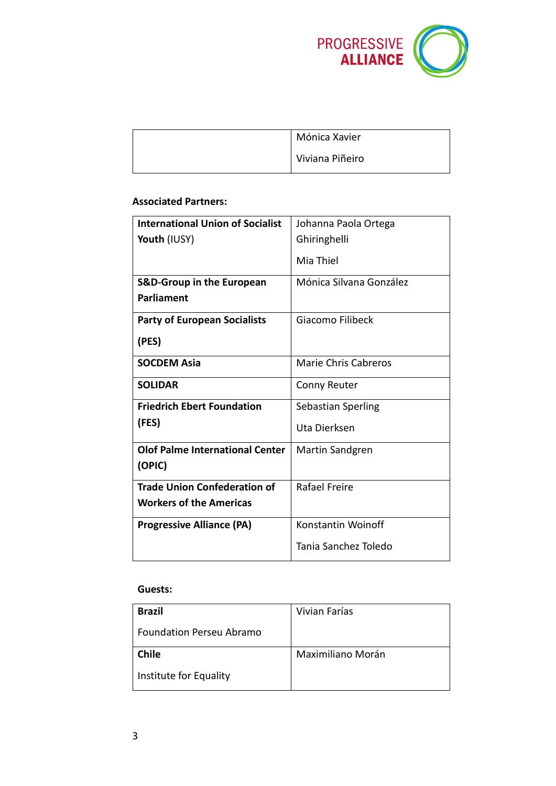

| Mónica Xavier   |
|-----------------|
| Viviana Piñeiro |

### **Associated Partners:**

| <b>International Union of Socialist</b> | Johanna Paola Ortega    |
|-----------------------------------------|-------------------------|
| <b>Youth (IUSY)</b>                     | Ghiringhelli            |
|                                         | Mia Thiel               |
| <b>S&amp;D-Group in the European</b>    | Mónica Silvana González |
| <b>Parliament</b>                       |                         |
| <b>Party of European Socialists</b>     | Giacomo Filibeck        |
| (PES)                                   |                         |
| <b>SOCDEM Asia</b>                      | Marie Chris Cabreros    |
| <b>SOLIDAR</b>                          | Conny Reuter            |
| <b>Friedrich Ebert Foundation</b>       | Sebastian Sperling      |
| (FES)                                   | Uta Dierksen            |
| <b>Olof Palme International Center</b>  | Martin Sandgren         |
| (OPIC)                                  |                         |
| <b>Trade Union Confederation of</b>     | Rafael Freire           |
| <b>Workers of the Americas</b>          |                         |
| <b>Progressive Alliance (PA)</b>        | Konstantin Woinoff      |
|                                         | Tania Sanchez Toledo    |

#### **Guests:**

| <b>Brazil</b>                   | Vivian Farías     |
|---------------------------------|-------------------|
| <b>Foundation Perseu Abramo</b> |                   |
| <b>Chile</b>                    | Maximiliano Morán |
| Institute for Equality          |                   |